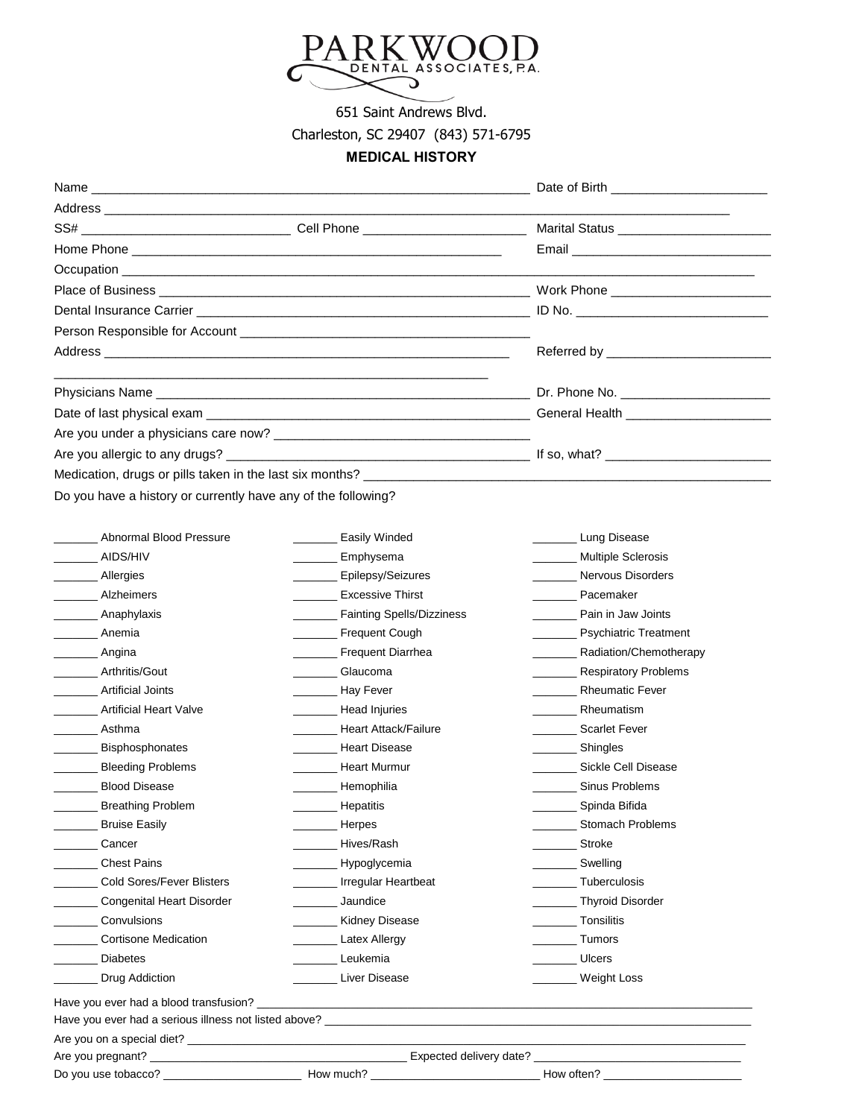

651 Saint Andrews Blvd.

## Charleston, SC 29407 (843) 571-6795

## **MEDICAL HISTORY**

| Name                                                                                                                                        |                                                                                                    | Date of Birth <b>Exercise 2008</b> |
|---------------------------------------------------------------------------------------------------------------------------------------------|----------------------------------------------------------------------------------------------------|------------------------------------|
|                                                                                                                                             |                                                                                                    |                                    |
|                                                                                                                                             |                                                                                                    |                                    |
|                                                                                                                                             |                                                                                                    |                                    |
|                                                                                                                                             |                                                                                                    |                                    |
|                                                                                                                                             |                                                                                                    |                                    |
|                                                                                                                                             |                                                                                                    |                                    |
|                                                                                                                                             |                                                                                                    |                                    |
|                                                                                                                                             |                                                                                                    |                                    |
|                                                                                                                                             |                                                                                                    |                                    |
|                                                                                                                                             |                                                                                                    |                                    |
|                                                                                                                                             |                                                                                                    |                                    |
|                                                                                                                                             |                                                                                                    |                                    |
|                                                                                                                                             |                                                                                                    |                                    |
|                                                                                                                                             |                                                                                                    |                                    |
| Do you have a history or currently have any of the following?                                                                               |                                                                                                    |                                    |
|                                                                                                                                             |                                                                                                    |                                    |
| Abnormal Blood Pressure                                                                                                                     | <b>Easily Winded</b>                                                                               | Lung Disease                       |
| AIDS/HIV                                                                                                                                    | Emphysema<br>$\mathcal{L}^{\text{max}}_{\text{max}}$ , and $\mathcal{L}^{\text{max}}_{\text{max}}$ | <b>Multiple Sclerosis</b>          |
|                                                                                                                                             | ________ Epilepsy/Seizures                                                                         | <b>Nervous Disorders</b>           |
|                                                                                                                                             |                                                                                                    |                                    |
|                                                                                                                                             | <b>Excessive Thirst</b>                                                                            | Pacemaker                          |
| ________ Anaphylaxis                                                                                                                        | Fainting Spells/Dizziness                                                                          | Pain in Jaw Joints                 |
| Anemia                                                                                                                                      | Frequent Cough                                                                                     | <b>Psychiatric Treatment</b>       |
|                                                                                                                                             | Frequent Diarrhea                                                                                  | Radiation/Chemotherapy             |
| Arthritis/Gout                                                                                                                              | <b>Glaucoma</b>                                                                                    | <b>Respiratory Problems</b>        |
| Artificial Joints<br>$\overline{\phantom{a}}$                                                                                               | <b>May Fever</b>                                                                                   | <b>Rheumatic Fever</b>             |
| <b>Artificial Heart Valve</b><br>$\overline{\phantom{a}}$                                                                                   | Head Injuries                                                                                      | Rheumatism                         |
|                                                                                                                                             | Heart Attack/Failure                                                                               | <b>Scarlet Fever</b>               |
| Bisphosphonates<br>$\mathcal{L}^{\mathcal{L}}$                                                                                              | Heart Disease                                                                                      | Shingles                           |
| <b>Bleeding Problems</b><br>$\overline{\phantom{a}}$                                                                                        | _______ Heart Murmur                                                                               | Sickle Cell Disease                |
| <b>Blood Disease</b>                                                                                                                        | Hemophilia                                                                                         | Sinus Problems                     |
| <b>Breathing Problem</b>                                                                                                                    | Hepatitis                                                                                          | __________ Spinda Bifida           |
| <b>Bruise Easily</b>                                                                                                                        | Herpes                                                                                             | <b>Stomach Problems</b>            |
| Cancer                                                                                                                                      | Hives/Rash                                                                                         | Stroke                             |
| <b>Chest Pains</b>                                                                                                                          | Hypoglycemia                                                                                       | Swelling                           |
| <b>Cold Sores/Fever Blisters</b>                                                                                                            | _______ Irregular Heartbeat                                                                        | Tuberculosis                       |
| <b>Congenital Heart Disorder</b>                                                                                                            | Jaundice                                                                                           | Thyroid Disorder                   |
| Convulsions                                                                                                                                 | <b>Kidney Disease</b>                                                                              | Tonsilitis                         |
| Allergies<br>Alzheimers<br><u>and the state</u><br>__________ Angina<br>__________ Asthma<br><b>Cortisone Medication</b><br><b>Diabetes</b> | <b>Latex Allergy</b><br>Leukemia                                                                   | Tumors<br><b>Ulcers</b>            |

Are you on a special diet? \_\_\_\_\_\_\_\_\_\_\_\_\_\_\_\_\_\_\_\_\_\_\_\_\_\_\_\_\_\_\_\_\_\_\_\_\_\_\_\_\_\_\_\_\_\_\_\_\_\_\_\_\_\_\_\_\_\_\_\_\_\_\_\_\_\_\_\_\_\_\_\_\_\_\_\_\_\_\_\_\_\_\_\_\_\_\_\_\_

Do you use tobacco? \_\_\_\_\_\_\_\_\_\_\_\_\_\_\_\_\_\_\_\_\_\_ How much? \_\_\_\_\_\_\_\_\_\_\_\_\_\_\_\_\_\_\_\_\_\_\_\_\_\_\_ How often? \_\_\_\_\_\_\_\_\_\_\_\_\_\_\_\_\_\_\_\_\_\_

| How much |
|----------|

Are you pregnant? \_\_\_\_\_\_\_\_\_\_\_\_\_\_\_\_\_\_\_\_\_\_\_\_\_\_\_\_\_\_\_\_\_\_\_\_\_\_\_\_\_ Expected delivery date? \_\_\_\_\_\_\_\_\_\_\_\_\_\_\_\_\_\_\_\_\_\_\_\_\_\_\_\_\_\_\_\_\_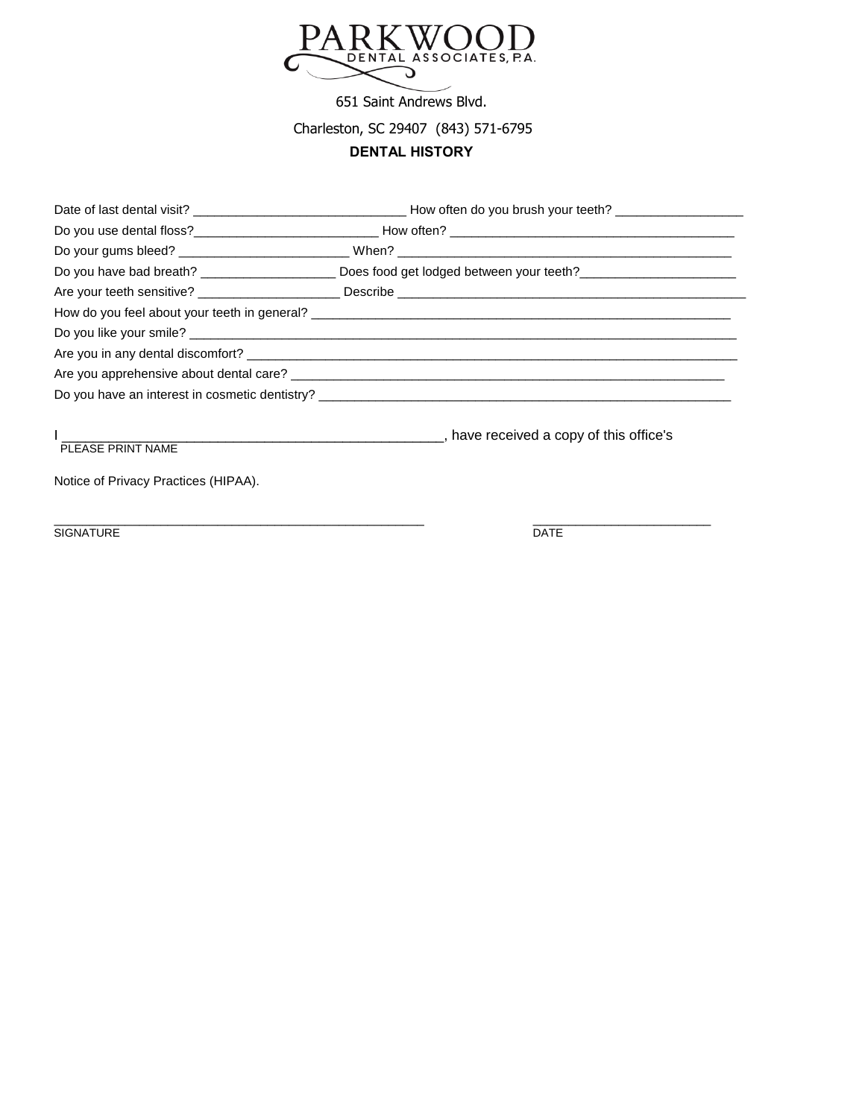

651 Saint Andrews Blvd.

Charleston, SC 29407 (843) 571-6795

## **DENTAL HISTORY**

| PLEASE PRINT NAME                    | have received a copy of this office's (and the state of the state of the state of the state of the state of th |
|--------------------------------------|----------------------------------------------------------------------------------------------------------------|
| Notice of Privacy Practices (HIPAA). |                                                                                                                |
| <b>SIGNATURE</b>                     | <b>DATE</b>                                                                                                    |